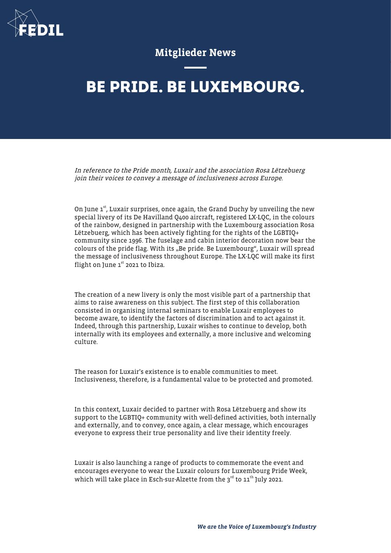

## Mitglieder News

# **BE PRIDE. BE LUXEMBOURG.**

In reference to the Pride month, Luxair and the association Rosa Lëtzebuerg join their voices to convey a message of inclusiveness across Europe.

On June  $1<sup>st</sup>$ , Luxair surprises, once again, the Grand Duchy by unveiling the new special livery of its De Havilland Q400 aircraft, registered LX-LQC, in the colours of the rainbow, designed in partnership with the Luxembourg association Rosa Lëtzebuerg, which has been actively fighting for the rights of the LGBTIQ+ community since 1996. The fuselage and cabin interior decoration now bear the colours of the pride flag. With its "Be pride. Be Luxembourg", Luxair will spread the message of inclusiveness throughout Europe. The LX-LQC will make its first flight on June  $1<sup>st</sup>$  2021 to Ibiza.

The creation of a new livery is only the most visible part of a partnership that aims to raise awareness on this subject. The first step of this collaboration consisted in organising internal seminars to enable Luxair employees to become aware, to identify the factors of discrimination and to act against it. Indeed, through this partnership, Luxair wishes to continue to develop, both internally with its employees and externally, a more inclusive and welcoming culture.

The reason for Luxair's existence is to enable communities to meet. Inclusiveness, therefore, is a fundamental value to be protected and promoted.

In this context, Luxair decided to partner with Rosa Lëtzebuerg and show its support to the LGBTIQ+ community with well-defined activities, both internally and externally, and to convey, once again, a clear message, which encourages everyone to express their true personality and live their identity freely.

Luxair is also launching a range of products to commemorate the event and encourages everyone to wear the Luxair colours for Luxembourg Pride Week, which will take place in Esch-sur-Alzette from the  $3<sup>rd</sup>$  to  $11<sup>th</sup>$  July 2021.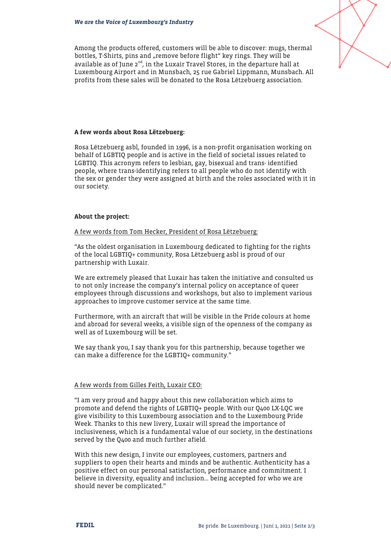

Among the products offered, customers will be able to discover: mugs, thermal bottles, T-Shirts, pins and "remove before flight" key rings. They will be available as of June 2<sup>nd</sup>, in the Luxair Travel Stores, in the departure hall at Luxembourg Airport and in Munsbach, 25 rue Gabriel Lippmann, Munsbach. All profits from these sales will be donated to the Rosa Lëtzebuerg association.

#### A few words about Rosa Lëtzebuerg:

Rosa Lëtzebuerg asbl, founded in 1996, is a non-profit organisation working on behalf of LGBTIQ people and is active in the field of societal issues related to LGBTIQ. This acronym refers to lesbian, gay, bisexual and trans- identified people, where trans-identifying refers to all people who do not identify with the sex or gender they were assigned at birth and the roles associated with it in our society.

#### About the project:

A few words from Tom Hecker, President of Rosa Lëtzebuerg:

"As the oldest organisation in Luxembourg dedicated to fighting for the rights of the local LGBTIQ+ community, Rosa Lëtzebuerg asbl is proud of our partnership with Luxair.

We are extremely pleased that Luxair has taken the initiative and consulted us to not only increase the company's internal policy on acceptance of queer employees through discussions and workshops, but also to implement various approaches to improve customer service at the same time.

Furthermore, with an aircraft that will be visible in the Pride colours at home and abroad for several weeks, a visible sign of the openness of the company as well as of Luxembourg will be set.

We say thank you, I say thank you for this partnership, because together we can make a difference for the LGBTIQ+ community."

#### A few words from Gilles Feith, Luxair CEO:

"I am very proud and happy about this new collaboration which aims to promote and defend the rights of LGBTIQ+ people. With our Q400 LX-LQC we give visibility to this Luxembourg association and to the Luxembourg Pride Week. Thanks to this new livery, Luxair will spread the importance of inclusiveness, which is a fundamental value of our society, in the destinations served by the Q400 and much further afield.

With this new design, I invite our employees, customers, partners and suppliers to open their hearts and minds and be authentic. Authenticity has a positive effect on our personal satisfaction, performance and commitment. I believe in diversity, equality and inclusion… being accepted for who we are should never be complicated."